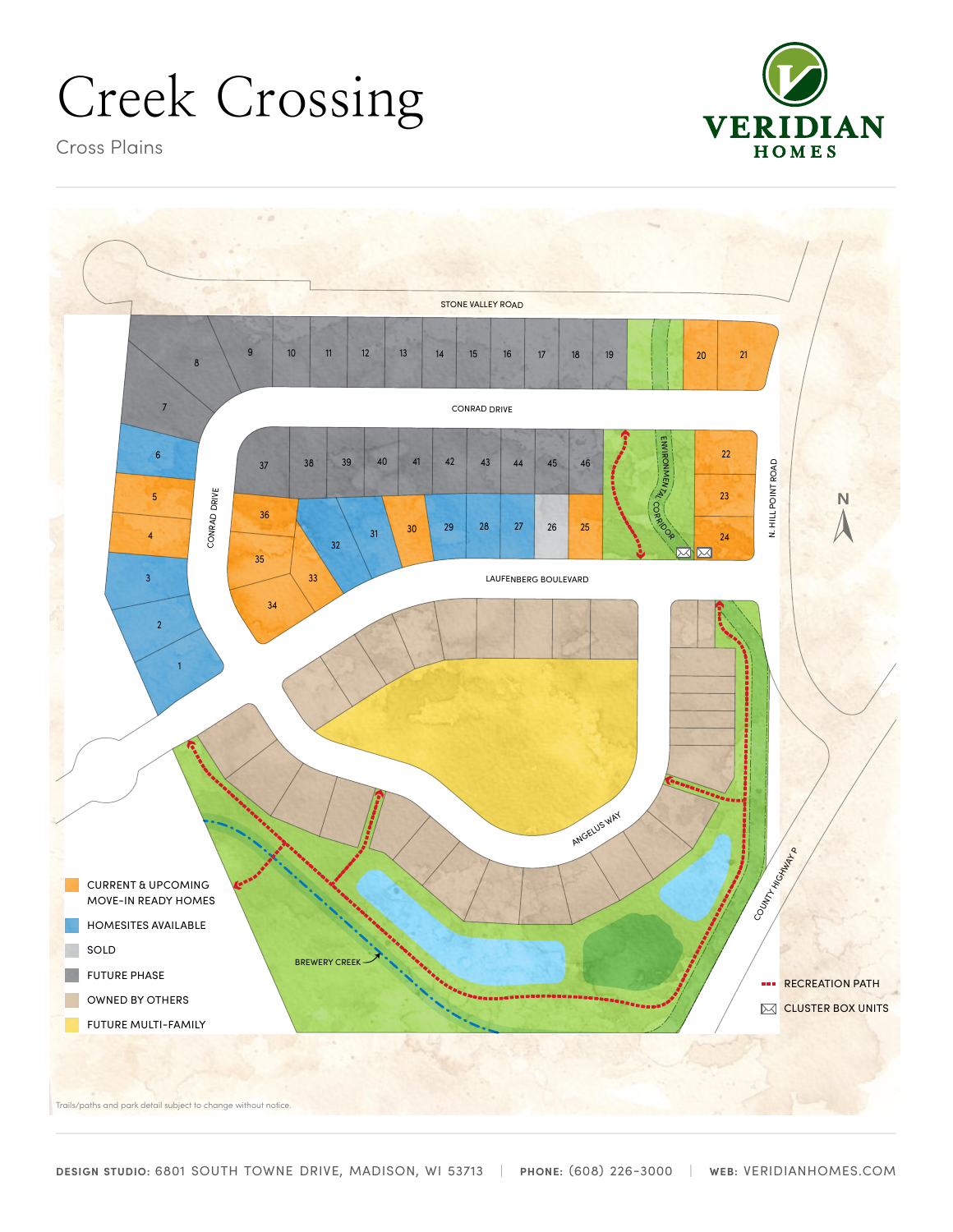# Creek Crossing



Cross Plains



Trails/paths and park detail subject to change without notice.